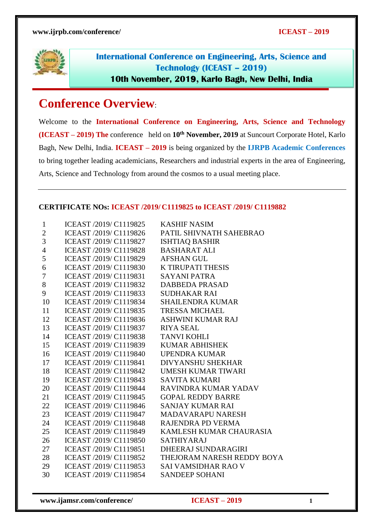

**International Conference on Engineering, Arts, Science and Technology (ICEAST – 2019) 10th November, 2019, Karlo Bagh, New Delhi, India**

# **Conference Overview**:

Welcome to the **International Conference on Engineering, Arts, Science and Technology (ICEAST – 2019) The** conference held on **10th November, 2019** at Suncourt Corporate Hotel, Karlo Bagh, New Delhi, India. **ICEAST – 2019** is being organized by the **IJRPB Academic Conferences**  to bring together leading academicians, Researchers and industrial experts in the area of Engineering, Arts, Science and Technology from around the cosmos to a usual meeting place.

#### **CERTIFICATE NOs: ICEAST /2019/ C1119825 to ICEAST /2019/ C1119882**

| $\mathbf{1}$   | ICEAST /2019/ C1119825 | <b>KASHIF NASIM</b>        |
|----------------|------------------------|----------------------------|
| $\mathbf{2}$   | ICEAST /2019/ C1119826 | PATIL SHIVNATH SAHEBRAO    |
| 3              | ICEAST /2019/ C1119827 | <b>ISHTIAQ BASHIR</b>      |
| $\overline{4}$ | ICEAST /2019/ C1119828 | <b>BASHARAT ALI</b>        |
| 5              | ICEAST /2019/ C1119829 | <b>AFSHAN GUL</b>          |
| 6              | ICEAST /2019/ C1119830 | <b>K TIRUPATI THESIS</b>   |
| 7              | ICEAST /2019/ C1119831 | <b>SAYANI PATRA</b>        |
| 8              | ICEAST /2019/ C1119832 | <b>DABBEDA PRASAD</b>      |
| 9              | ICEAST /2019/ C1119833 | <b>SUDHAKAR RAI</b>        |
| 10             | ICEAST /2019/ C1119834 | <b>SHAILENDRA KUMAR</b>    |
| 11             | ICEAST /2019/ C1119835 | <b>TRESSA MICHAEL</b>      |
| 12             | ICEAST /2019/ C1119836 | <b>ASHWINI KUMAR RAJ</b>   |
| 13             | ICEAST /2019/ C1119837 | <b>RIYA SEAL</b>           |
| 14             | ICEAST /2019/ C1119838 | <b>TANVI KOHLI</b>         |
| 15             | ICEAST /2019/ C1119839 | <b>KUMAR ABHISHEK</b>      |
| 16             | ICEAST /2019/ C1119840 | <b>UPENDRA KUMAR</b>       |
| 17             | ICEAST /2019/ C1119841 | <b>DIVYANSHU SHEKHAR</b>   |
| 18             | ICEAST /2019/ C1119842 | <b>UMESH KUMAR TIWARI</b>  |
| 19             | ICEAST /2019/ C1119843 | <b>SAVITA KUMARI</b>       |
| 20             | ICEAST /2019/ C1119844 | RAVINDRA KUMAR YADAV       |
| 21             | ICEAST /2019/ C1119845 | <b>GOPAL REDDY BARRE</b>   |
| 22             | ICEAST /2019/ C1119846 | <b>SANJAY KUMAR RAI</b>    |
| 23             | ICEAST /2019/ C1119847 | <b>MADAVARAPU NARESH</b>   |
| 24             | ICEAST /2019/ C1119848 | RAJENDRA PD VERMA          |
| 25             | ICEAST /2019/ C1119849 | KAMLESH KUMAR CHAURASIA    |
| 26             | ICEAST /2019/ C1119850 | <b>SATHIYARAJ</b>          |
| 27             | ICEAST /2019/ C1119851 | DHEERAJ SUNDARAGIRI        |
| 28             | ICEAST /2019/ C1119852 | THEJORAM NARESH REDDY BOYA |
| 29             | ICEAST /2019/ C1119853 | <b>SAI VAMSIDHAR RAO V</b> |
| 30             | ICEAST /2019/ C1119854 | <b>SANDEEP SOHANI</b>      |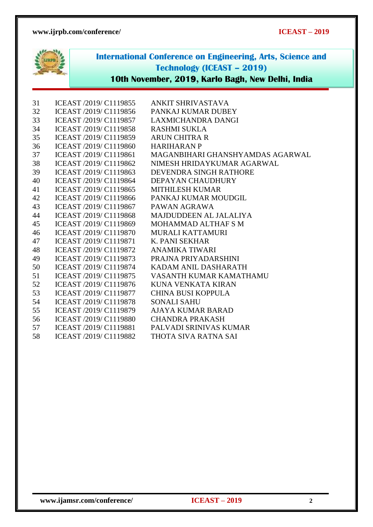

**International Conference on Engineering, Arts, Science and Technology (ICEAST – 2019)**

# **10th November, 2019, Karlo Bagh, New Delhi, India**

| 31 | ICEAST /2019/ C1119855 | ANKIT SHRIVASTAVA                |
|----|------------------------|----------------------------------|
| 32 | ICEAST /2019/ C1119856 | PANKAJ KUMAR DUBEY               |
| 33 | ICEAST /2019/ C1119857 | <b>LAXMICHANDRA DANGI</b>        |
| 34 | ICEAST /2019/ C1119858 | <b>RASHMI SUKLA</b>              |
| 35 | ICEAST /2019/ C1119859 | <b>ARUN CHITRA R</b>             |
| 36 | ICEAST /2019/ C1119860 | <b>HARIHARAN P</b>               |
| 37 | ICEAST /2019/ C1119861 | MAGANBIHARI GHANSHYAMDAS AGARWAL |
| 38 | ICEAST /2019/ C1119862 | NIMESH HRIDAYKUMAR AGARWAL       |
| 39 | ICEAST /2019/ C1119863 | DEVENDRA SINGH RATHORE           |
| 40 | ICEAST /2019/ C1119864 | DEPAYAN CHAUDHURY                |
| 41 | ICEAST /2019/ C1119865 | <b>MITHILESH KUMAR</b>           |
| 42 | ICEAST /2019/ C1119866 | PANKAJ KUMAR MOUDGIL             |
| 43 | ICEAST /2019/ C1119867 | PAWAN AGRAWA                     |
| 44 | ICEAST /2019/ C1119868 | MAJDUDDEEN AL JALALIYA           |
| 45 | ICEAST /2019/ C1119869 | MOHAMMAD ALTHAF S M              |
| 46 | ICEAST /2019/ C1119870 | MURALI KATTAMURI                 |
| 47 | ICEAST /2019/ C1119871 | K. PANI SEKHAR                   |
| 48 | ICEAST /2019/ C1119872 | ANAMIKA TIWARI                   |
| 49 | ICEAST /2019/ C1119873 | PRAJNA PRIYADARSHINI             |
| 50 | ICEAST /2019/ C1119874 | KADAM ANIL DASHARATH             |
| 51 | ICEAST /2019/ C1119875 | VASANTH KUMAR KAMATHAMU          |
| 52 | ICEAST /2019/ C1119876 | KUNA VENKATA KIRAN               |
| 53 | ICEAST /2019/ C1119877 | <b>CHINA BUSI KOPPULA</b>        |
| 54 | ICEAST /2019/ C1119878 | <b>SONALI SAHU</b>               |
| 55 | ICEAST /2019/ C1119879 | <b>AJAYA KUMAR BARAD</b>         |
| 56 | ICEAST /2019/ C1119880 | <b>CHANDRA PRAKASH</b>           |
| 57 | ICEAST /2019/ C1119881 | PALVADI SRINIVAS KUMAR           |
| 58 | ICEAST /2019/ C1119882 | THOTA SIVA RATNA SAI             |
|    |                        |                                  |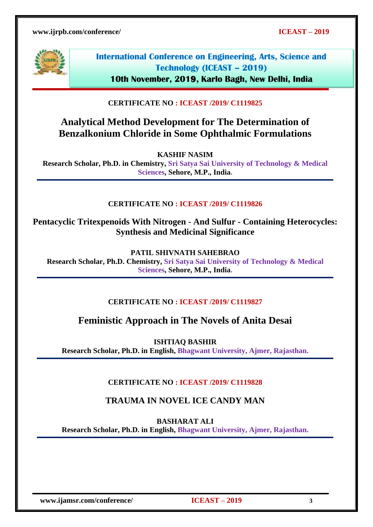

**International Conference on Engineering, Arts, Science and Technology (ICEAST – 2019) 10th November, 2019, Karlo Bagh, New Delhi, India**

### **CERTIFICATE NO : ICEAST /2019/ C1119825**

# **Analytical Method Development for The Determination of Benzalkonium Chloride in Some Ophthalmic Formulations**

**KASHIF NASIM** 

**Research Scholar, Ph.D. in Chemistry, Sri Satya Sai University of Technology & Medical Sciences, Sehore, M.P., India.**

#### **CERTIFICATE NO : ICEAST /2019/ C1119826**

**Pentacyclic Tritexpenoids With Nitrogen - And Sulfur - Containing Heterocycles: Synthesis and Medicinal Significance**

**PATIL SHIVNATH SAHEBRAO**

**Research Scholar, Ph.D. Chemistry, Sri Satya Sai University of Technology & Medical Sciences, Sehore, M.P., India.**

#### **CERTIFICATE NO : ICEAST /2019/ C1119827**

# **Feministic Approach in The Novels of Anita Desai**

**ISHTIAQ BASHIR** 

**Research Scholar, Ph.D. in English, Bhagwant University, Ajmer, Rajasthan.**

#### **CERTIFICATE NO : ICEAST /2019/ C1119828**

## **TRAUMA IN NOVEL ICE CANDY MAN**

**BASHARAT ALI** 

**Research Scholar, Ph.D. in English, Bhagwant University, Ajmer, Rajasthan.**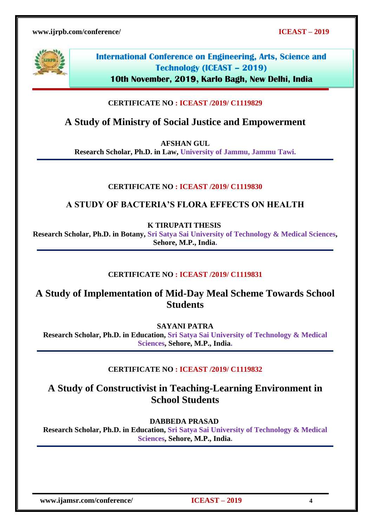

**10th November, 2019, Karlo Bagh, New Delhi, India**

## **CERTIFICATE NO : ICEAST /2019/ C1119829**

# **A Study of Ministry of Social Justice and Empowerment**

**AFSHAN GUL** 

**Research Scholar, Ph.D. in Law, University of Jammu, Jammu Tawi.**

## **CERTIFICATE NO : ICEAST /2019/ C1119830**

## **A STUDY OF BACTERIA'S FLORA EFFECTS ON HEALTH**

**K TIRUPATI THESIS**

**Research Scholar, Ph.D. in Botany, Sri Satya Sai University of Technology & Medical Sciences, Sehore, M.P., India.**

## **CERTIFICATE NO : ICEAST /2019/ C1119831**

# **A Study of Implementation of Mid-Day Meal Scheme Towards School Students**

**SAYANI PATRA**

**Research Scholar, Ph.D. in Education, Sri Satya Sai University of Technology & Medical Sciences, Sehore, M.P., India.**

## **CERTIFICATE NO : ICEAST /2019/ C1119832**

# **A Study of Constructivist in Teaching-Learning Environment in School Students**

**DABBEDA PRASAD**

**Research Scholar, Ph.D. in Education, Sri Satya Sai University of Technology & Medical Sciences, Sehore, M.P., India.**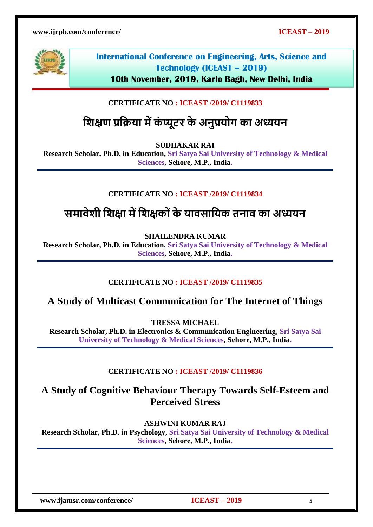

**10th November, 2019, Karlo Bagh, New Delhi, India**

# **CERTIFICATE NO : ICEAST /2019/ C1119833**

# **शिक्षण प्रशिया मेंकं प्यूटर के अनुप्रयोग का अध्ययन**

**SUDHAKAR RAI** 

**Research Scholar, Ph.D. in Education, Sri Satya Sai University of Technology & Medical Sciences, Sehore, M.P., India.**

## **CERTIFICATE NO : ICEAST /2019/ C1119834**

# **समावेिी शिक्षा मेंशिक्षको ंके यावसाशयक तनाव का अध्ययन**

**SHAILENDRA KUMAR** 

**Research Scholar, Ph.D. in Education, Sri Satya Sai University of Technology & Medical Sciences, Sehore, M.P., India.**

## **CERTIFICATE NO : ICEAST /2019/ C1119835**

# **A Study of Multicast Communication for The Internet of Things**

**TRESSA MICHAEL** 

**Research Scholar, Ph.D. in Electronics & Communication Engineering, Sri Satya Sai University of Technology & Medical Sciences, Sehore, M.P., India.**

#### **CERTIFICATE NO : ICEAST /2019/ C1119836**

# **A Study of Cognitive Behaviour Therapy Towards Self-Esteem and Perceived Stress**

**ASHWINI KUMAR RAJ** 

**Research Scholar, Ph.D. in Psychology, Sri Satya Sai University of Technology & Medical Sciences, Sehore, M.P., India.**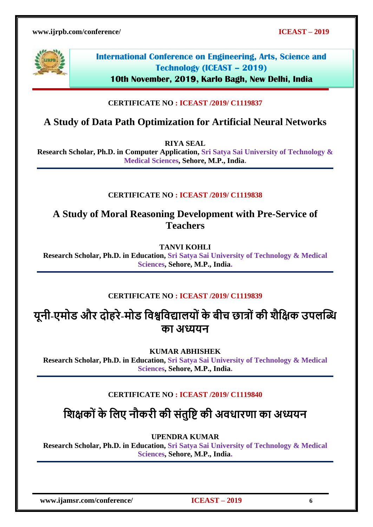

**10th November, 2019, Karlo Bagh, New Delhi, India**

## **CERTIFICATE NO : ICEAST /2019/ C1119837**

# **A Study of Data Path Optimization for Artificial Neural Networks**

**RIYA SEAL** 

**Research Scholar, Ph.D. in Computer Application, Sri Satya Sai University of Technology & Medical Sciences, Sehore, M.P., India.**

#### **CERTIFICATE NO : ICEAST /2019/ C1119838**

**A Study of Moral Reasoning Development with Pre-Service of Teachers**

**TANVI KOHLI** 

**Research Scholar, Ph.D. in Education, Sri Satya Sai University of Technology & Medical Sciences, Sehore, M.P., India.**

#### **CERTIFICATE NO : ICEAST /2019/ C1119839**

# **यूनी-एमोड और दोहरे-मोड शवश्वशवद्यालयो ंकेबीच छात्ो ंकी िैशक्षक उपलब्धि का अध्ययन**

**KUMAR ABHISHEK** 

**Research Scholar, Ph.D. in Education, Sri Satya Sai University of Technology & Medical Sciences, Sehore, M.P., India.**

## **CERTIFICATE NO : ICEAST /2019/ C1119840**

**शिक्षको ंके शलए नौकरी की संतुशि की अवधारणा का अध्ययन**

**UPENDRA KUMAR** 

**Research Scholar, Ph.D. in Education, Sri Satya Sai University of Technology & Medical Sciences, Sehore, M.P., India.**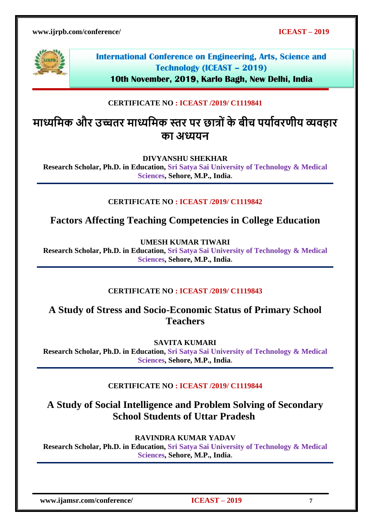

**10th November, 2019, Karlo Bagh, New Delhi, India**

## **CERTIFICATE NO : ICEAST /2019/ C1119841**

# **माध्यशमक और उच्चतर माध्यशमक स्तर पर छात्ो ंके बीच पयाावरणीय व्यवहार का अध्ययन**

**DIVYANSHU SHEKHAR** 

**Research Scholar, Ph.D. in Education, Sri Satya Sai University of Technology & Medical Sciences, Sehore, M.P., India.**

## **CERTIFICATE NO : ICEAST /2019/ C1119842**

**Factors Affecting Teaching Competencies in College Education**

**UMESH KUMAR TIWARI** 

**Research Scholar, Ph.D. in Education, Sri Satya Sai University of Technology & Medical Sciences, Sehore, M.P., India.**

#### **CERTIFICATE NO : ICEAST /2019/ C1119843**

# **A Study of Stress and Socio-Economic Status of Primary School Teachers**

**SAVITA KUMARI** 

**Research Scholar, Ph.D. in Education, Sri Satya Sai University of Technology & Medical Sciences, Sehore, M.P., India.**

#### **CERTIFICATE NO : ICEAST /2019/ C1119844**

# **A Study of Social Intelligence and Problem Solving of Secondary School Students of Uttar Pradesh**

**RAVINDRA KUMAR YADAV** 

**Research Scholar, Ph.D. in Education, Sri Satya Sai University of Technology & Medical Sciences, Sehore, M.P., India.**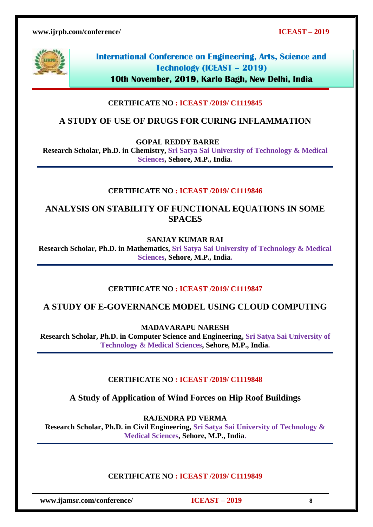

**10th November, 2019, Karlo Bagh, New Delhi, India**

## **CERTIFICATE NO : ICEAST /2019/ C1119845**

# **A STUDY OF USE OF DRUGS FOR CURING INFLAMMATION**

**GOPAL REDDY BARRE**

**Research Scholar, Ph.D. in Chemistry, Sri Satya Sai University of Technology & Medical Sciences, Sehore, M.P., India.**

### **CERTIFICATE NO : ICEAST /2019/ C1119846**

**ANALYSIS ON STABILITY OF FUNCTIONAL EQUATIONS IN SOME SPACES**

**SANJAY KUMAR RAI** 

**Research Scholar, Ph.D. in Mathematics, Sri Satya Sai University of Technology & Medical Sciences, Sehore, M.P., India.**

## **CERTIFICATE NO : ICEAST /2019/ C1119847**

**A STUDY OF E-GOVERNANCE MODEL USING CLOUD COMPUTING**

**MADAVARAPU NARESH** 

**Research Scholar, Ph.D. in Computer Science and Engineering, Sri Satya Sai University of Technology & Medical Sciences, Sehore, M.P., India.**

#### **CERTIFICATE NO : ICEAST /2019/ C1119848**

**A Study of Application of Wind Forces on Hip Roof Buildings**

**RAJENDRA PD VERMA**

**Research Scholar, Ph.D. in Civil Engineering, Sri Satya Sai University of Technology & Medical Sciences, Sehore, M.P., India.**

#### **CERTIFICATE NO : ICEAST /2019/ C1119849**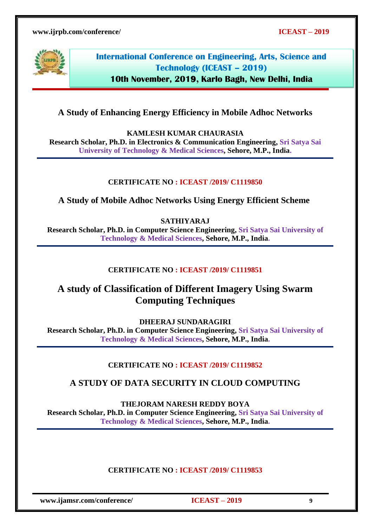

**10th November, 2019, Karlo Bagh, New Delhi, India**

## **A Study of Enhancing Energy Efficiency in Mobile Adhoc Networks**

**KAMLESH KUMAR CHAURASIA**

**Research Scholar, Ph.D. in Electronics & Communication Engineering, Sri Satya Sai University of Technology & Medical Sciences, Sehore, M.P., India.**

#### **CERTIFICATE NO : ICEAST /2019/ C1119850**

**A Study of Mobile Adhoc Networks Using Energy Efficient Scheme**

**SATHIYARAJ** 

**Research Scholar, Ph.D. in Computer Science Engineering, Sri Satya Sai University of Technology & Medical Sciences, Sehore, M.P., India.**

#### **CERTIFICATE NO : ICEAST /2019/ C1119851**

# **A study of Classification of Different Imagery Using Swarm Computing Techniques**

**DHEERAJ SUNDARAGIRI** 

**Research Scholar, Ph.D. in Computer Science Engineering, Sri Satya Sai University of Technology & Medical Sciences, Sehore, M.P., India.**

#### **CERTIFICATE NO : ICEAST /2019/ C1119852**

## **A STUDY OF DATA SECURITY IN CLOUD COMPUTING**

**THEJORAM NARESH REDDY BOYA** 

**Research Scholar, Ph.D. in Computer Science Engineering, Sri Satya Sai University of Technology & Medical Sciences, Sehore, M.P., India.**

#### **CERTIFICATE NO : ICEAST /2019/ C1119853**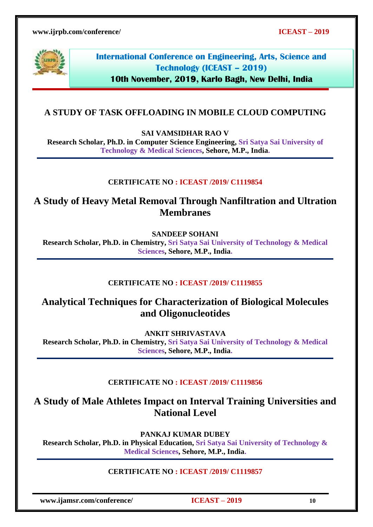

**International Conference on Engineering, Arts, Science and Technology (ICEAST – 2019)**

**10th November, 2019, Karlo Bagh, New Delhi, India**

## **A STUDY OF TASK OFFLOADING IN MOBILE CLOUD COMPUTING**

**SAI VAMSIDHAR RAO V** 

**Research Scholar, Ph.D. in Computer Science Engineering, Sri Satya Sai University of Technology & Medical Sciences, Sehore, M.P., India.**

#### **CERTIFICATE NO : ICEAST /2019/ C1119854**

**A Study of Heavy Metal Removal Through Nanfiltration and Ultration Membranes**

**SANDEEP SOHANI**

**Research Scholar, Ph.D. in Chemistry, Sri Satya Sai University of Technology & Medical Sciences, Sehore, M.P., India.**

#### **CERTIFICATE NO : ICEAST /2019/ C1119855**

**Analytical Techniques for Characterization of Biological Molecules and Oligonucleotides** 

**ANKIT SHRIVASTAVA Research Scholar, Ph.D. in Chemistry, Sri Satya Sai University of Technology & Medical Sciences, Sehore, M.P., India.**

#### **CERTIFICATE NO : ICEAST /2019/ C1119856**

**A Study of Male Athletes Impact on Interval Training Universities and National Level**

**PANKAJ KUMAR DUBEY** 

**Research Scholar, Ph.D. in Physical Education, Sri Satya Sai University of Technology & Medical Sciences, Sehore, M.P., India.**

#### **CERTIFICATE NO : ICEAST /2019/ C1119857**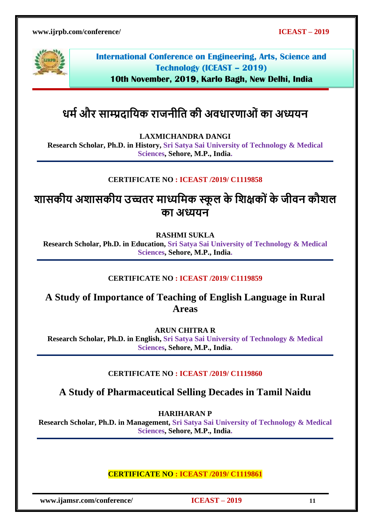

**International Conference on Engineering, Arts, Science and Technology (ICEAST – 2019)**

**10th November, 2019, Karlo Bagh, New Delhi, India**

# **धमाऔर साम्प्रदाशयक राजनीशत की अवधारणाओंका अध्ययन**

**LAXMICHANDRA DANGI**

**Research Scholar, Ph.D. in History, Sri Satya Sai University of Technology & Medical Sciences, Sehore, M.P., India.**

## **CERTIFICATE NO : ICEAST /2019/ C1119858**

**िासकीय अिासकीय उच्चतर माध्यशमक स्कू ल के शिक्षको ंके जीवन कौिल का अध्ययन**

**RASHMI SUKLA**

**Research Scholar, Ph.D. in Education, Sri Satya Sai University of Technology & Medical Sciences, Sehore, M.P., India.**

#### **CERTIFICATE NO : ICEAST /2019/ C1119859**

# **A Study of Importance of Teaching of English Language in Rural Areas**

**ARUN CHITRA R**

**Research Scholar, Ph.D. in English, Sri Satya Sai University of Technology & Medical Sciences, Sehore, M.P., India.**

#### **CERTIFICATE NO : ICEAST /2019/ C1119860**

**A Study of Pharmaceutical Selling Decades in Tamil Naidu**

**HARIHARAN P**

**Research Scholar, Ph.D. in Management, Sri Satya Sai University of Technology & Medical Sciences, Sehore, M.P., India.**

#### **CERTIFICATE NO : ICEAST /2019/ C1119861**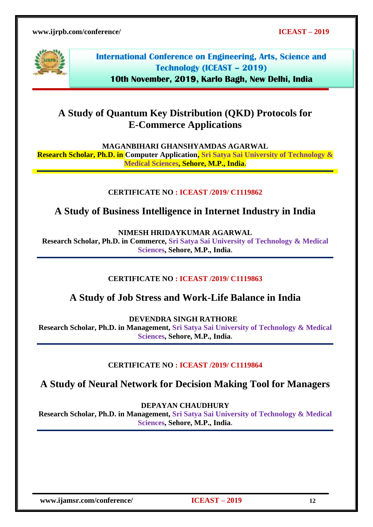

**International Conference on Engineering, Arts, Science and Technology (ICEAST – 2019) 10th November, 2019, Karlo Bagh, New Delhi, India**

# **A Study of Quantum Key Distribution (QKD) Protocols for E-Commerce Applications**

**MAGANBIHARI GHANSHYAMDAS AGARWAL**

**Research Scholar, Ph.D. in Computer Application, Sri Satya Sai University of Technology & Medical Sciences, Sehore, M.P., India.**

### **CERTIFICATE NO : ICEAST /2019/ C1119862**

# **A Study of Business Intelligence in Internet Industry in India**

**NIMESH HRIDAYKUMAR AGARWAL**

**Research Scholar, Ph.D. in Commerce, Sri Satya Sai University of Technology & Medical Sciences, Sehore, M.P., India.**

## **CERTIFICATE NO : ICEAST /2019/ C1119863**

# **A Study of Job Stress and Work-Life Balance in India**

**DEVENDRA SINGH RATHORE**

**Research Scholar, Ph.D. in Management, Sri Satya Sai University of Technology & Medical Sciences, Sehore, M.P., India.**

#### **CERTIFICATE NO : ICEAST /2019/ C1119864**

**A Study of Neural Network for Decision Making Tool for Managers**

**DEPAYAN CHAUDHURY**

**Research Scholar, Ph.D. in Management, Sri Satya Sai University of Technology & Medical Sciences, Sehore, M.P., India.**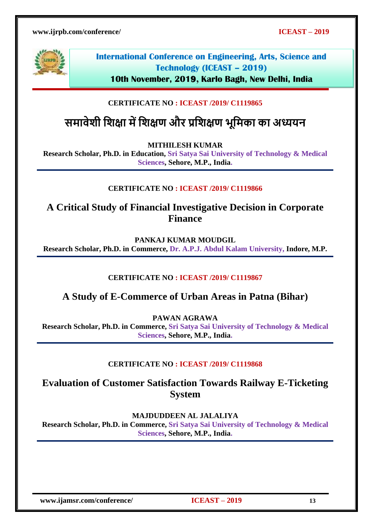

**10th November, 2019, Karlo Bagh, New Delhi, India**

# **CERTIFICATE NO : ICEAST /2019/ C1119865**

# **समावेिी शिक्षा मेंशिक्षण और प्रशिक्षण भूशमका का अध्ययन**

**MITHILESH KUMAR**

**Research Scholar, Ph.D. in Education, Sri Satya Sai University of Technology & Medical Sciences, Sehore, M.P., India.**

### **CERTIFICATE NO : ICEAST /2019/ C1119866**

**A Critical Study of Financial Investigative Decision in Corporate Finance**

**PANKAJ KUMAR MOUDGIL**

**Research Scholar, Ph.D. in Commerce, Dr. A.P.J. Abdul Kalam University, Indore, M.P.** 

#### **CERTIFICATE NO : ICEAST /2019/ C1119867**

# **A Study of E-Commerce of Urban Areas in Patna (Bihar)**

**PAWAN AGRAWA**

**Research Scholar, Ph.D. in Commerce, Sri Satya Sai University of Technology & Medical Sciences, Sehore, M.P., India.**

#### **CERTIFICATE NO : ICEAST /2019/ C1119868**

# **Evaluation of Customer Satisfaction Towards Railway E-Ticketing System**

**MAJDUDDEEN AL JALALIYA** 

**Research Scholar, Ph.D. in Commerce, Sri Satya Sai University of Technology & Medical Sciences, Sehore, M.P., India.**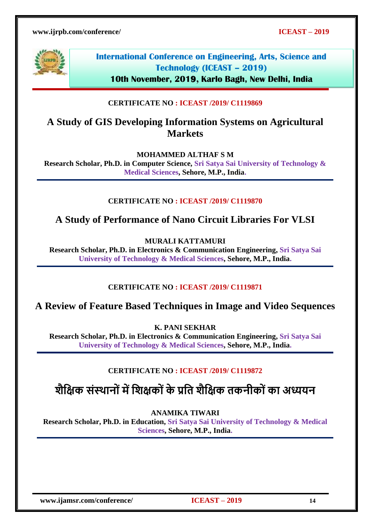

**10th November, 2019, Karlo Bagh, New Delhi, India**

### **CERTIFICATE NO : ICEAST /2019/ C1119869**

# **A Study of GIS Developing Information Systems on Agricultural Markets**

**MOHAMMED ALTHAF S M** 

**Research Scholar, Ph.D. in Computer Science, Sri Satya Sai University of Technology & Medical Sciences, Sehore, M.P., India.**

#### **CERTIFICATE NO : ICEAST /2019/ C1119870**

**A Study of Performance of Nano Circuit Libraries For VLSI**

**MURALI KATTAMURI**

**Research Scholar, Ph.D. in Electronics & Communication Engineering, Sri Satya Sai University of Technology & Medical Sciences, Sehore, M.P., India.**

#### **CERTIFICATE NO : ICEAST /2019/ C1119871**

**A Review of Feature Based Techniques in Image and Video Sequences**

**K. PANI SEKHAR**

**Research Scholar, Ph.D. in Electronics & Communication Engineering, Sri Satya Sai University of Technology & Medical Sciences, Sehore, M.P., India.**

#### **CERTIFICATE NO : ICEAST /2019/ C1119872**

# **िैशक्षक संस्थानो ंमेंशिक्षको ंके प्रशत िैशक्षक तकनीको ंका अध्ययन**

**ANAMIKA TIWARI** 

**Research Scholar, Ph.D. in Education, Sri Satya Sai University of Technology & Medical Sciences, Sehore, M.P., India.**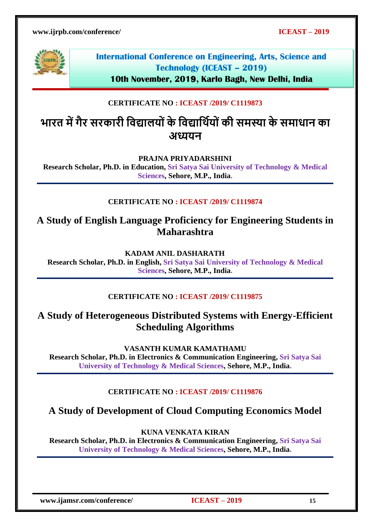

**10th November, 2019, Karlo Bagh, New Delhi, India**

## **CERTIFICATE NO : ICEAST /2019/ C1119873**

# **भारत मेंगैर सरकारी शवद्यालयो ंके शवद्याशथायो ंकी समस्या के समाधान का अध्ययन**

**PRAJNA PRIYADARSHINI** 

**Research Scholar, Ph.D. in Education, Sri Satya Sai University of Technology & Medical Sciences, Sehore, M.P., India.**

### **CERTIFICATE NO : ICEAST /2019/ C1119874**

# **A Study of English Language Proficiency for Engineering Students in Maharashtra**

**KADAM ANIL DASHARATH**

**Research Scholar, Ph.D. in English, Sri Satya Sai University of Technology & Medical Sciences, Sehore, M.P., India.**

#### **CERTIFICATE NO : ICEAST /2019/ C1119875**

# **A Study of Heterogeneous Distributed Systems with Energy-Efficient Scheduling Algorithms**

**VASANTH KUMAR KAMATHAMU** 

**Research Scholar, Ph.D. in Electronics & Communication Engineering, Sri Satya Sai University of Technology & Medical Sciences, Sehore, M.P., India.**

#### **CERTIFICATE NO : ICEAST /2019/ C1119876**

# **A Study of Development of Cloud Computing Economics Model**

**KUNA VENKATA KIRAN** 

**Research Scholar, Ph.D. in Electronics & Communication Engineering, Sri Satya Sai University of Technology & Medical Sciences, Sehore, M.P., India.**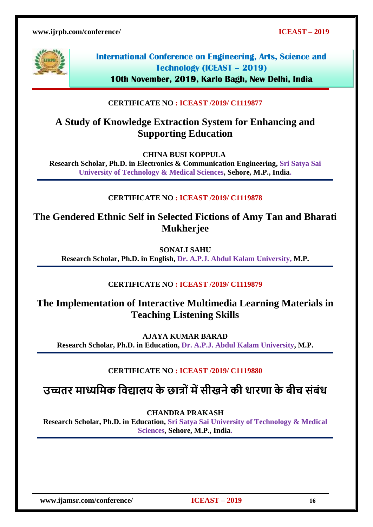

**International Conference on Engineering, Arts, Science and Technology (ICEAST – 2019)**

**10th November, 2019, Karlo Bagh, New Delhi, India**

## **CERTIFICATE NO : ICEAST /2019/ C1119877**

# **A Study of Knowledge Extraction System for Enhancing and Supporting Education**

**CHINA BUSI KOPPULA**

**Research Scholar, Ph.D. in Electronics & Communication Engineering, Sri Satya Sai University of Technology & Medical Sciences, Sehore, M.P., India.**

### **CERTIFICATE NO : ICEAST /2019/ C1119878**

**The Gendered Ethnic Self in Selected Fictions of Amy Tan and Bharati Mukherjee**

**SONALI SAHU Research Scholar, Ph.D. in English, Dr. A.P.J. Abdul Kalam University, M.P.**

#### **CERTIFICATE NO : ICEAST /2019/ C1119879**

# **The Implementation of Interactive Multimedia Learning Materials in Teaching Listening Skills**

**AJAYA KUMAR BARAD Research Scholar, Ph.D. in Education, Dr. A.P.J. Abdul Kalam University, M.P.**

## **CERTIFICATE NO : ICEAST /2019/ C1119880**

**उच्चतर माध्यशमक शवद्यालय के छात्ो ंमेंसीखनेकी धारणा के बीच संबंध**

**CHANDRA PRAKASH** 

**Research Scholar, Ph.D. in Education, Sri Satya Sai University of Technology & Medical Sciences, Sehore, M.P., India.**